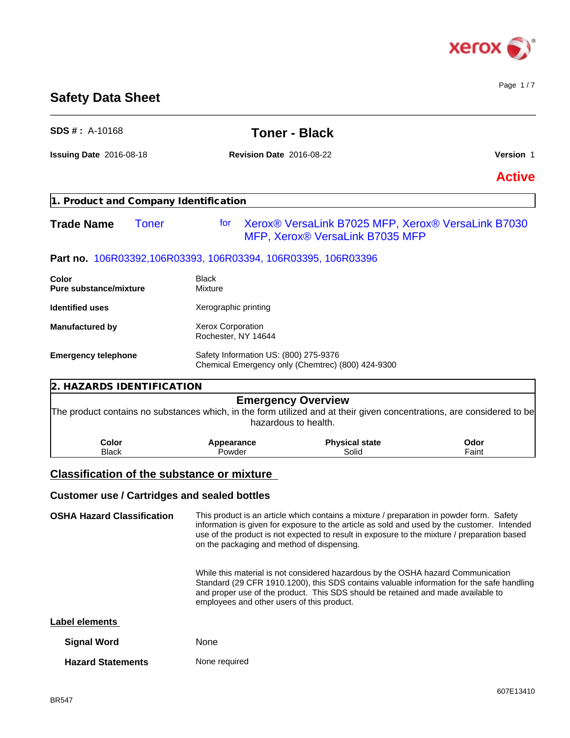

# **Safety Data Sheet**

| $SDS #: A-10168$                                              |                                                                                            | <b>Toner - Black</b>                                                                                                                                                                                                                                                                   |                  |
|---------------------------------------------------------------|--------------------------------------------------------------------------------------------|----------------------------------------------------------------------------------------------------------------------------------------------------------------------------------------------------------------------------------------------------------------------------------------|------------------|
| Issuing Date 2016-08-18                                       | <b>Revision Date 2016-08-22</b>                                                            |                                                                                                                                                                                                                                                                                        | <b>Version 1</b> |
|                                                               |                                                                                            |                                                                                                                                                                                                                                                                                        | <b>Active</b>    |
| 1. Product and Company Identification                         |                                                                                            |                                                                                                                                                                                                                                                                                        |                  |
| <b>Trade Name</b><br><b>Toner</b>                             | for                                                                                        | Xerox® VersaLink B7025 MFP, Xerox® VersaLink B7030<br>MFP, Xerox® VersaLink B7035 MFP                                                                                                                                                                                                  |                  |
| Part no. 106R03392,106R03393, 106R03394, 106R03395, 106R03396 |                                                                                            |                                                                                                                                                                                                                                                                                        |                  |
| Color<br><b>Pure substance/mixture</b>                        | <b>Black</b><br>Mixture                                                                    |                                                                                                                                                                                                                                                                                        |                  |
| <b>Identified uses</b>                                        | Xerographic printing                                                                       |                                                                                                                                                                                                                                                                                        |                  |
| <b>Manufactured by</b>                                        | Xerox Corporation<br>Rochester, NY 14644                                                   |                                                                                                                                                                                                                                                                                        |                  |
| <b>Emergency telephone</b>                                    | Safety Information US: (800) 275-9376<br>Chemical Emergency only (Chemtrec) (800) 424-9300 |                                                                                                                                                                                                                                                                                        |                  |
| 2. HAZARDS IDENTIFICATION                                     |                                                                                            |                                                                                                                                                                                                                                                                                        |                  |
|                                                               |                                                                                            | <b>Emergency Overview</b><br>The product contains no substances which, in the form utilized and at their given concentrations, are considered to be<br>hazardous to health.                                                                                                            |                  |
| Color<br><b>Black</b>                                         | Appearance<br>Powder                                                                       | <b>Physical state</b><br>Solid                                                                                                                                                                                                                                                         | Odor<br>Faint    |
|                                                               |                                                                                            |                                                                                                                                                                                                                                                                                        |                  |
| <b>Classification of the substance or mixture</b>             |                                                                                            |                                                                                                                                                                                                                                                                                        |                  |
| <b>Customer use / Cartridges and sealed bottles</b>           |                                                                                            |                                                                                                                                                                                                                                                                                        |                  |
| <b>OSHA Hazard Classification</b>                             | on the packaging and method of dispensing.                                                 | This product is an article which contains a mixture / preparation in powder form. Safety<br>information is given for exposure to the article as sold and used by the customer. Intended<br>use of the product is not expected to result in exposure to the mixture / preparation based |                  |
|                                                               | employees and other users of this product.                                                 | While this material is not considered hazardous by the OSHA hazard Communication<br>Standard (29 CFR 1910.1200), this SDS contains valuable information for the safe handling<br>and proper use of the product. This SDS should be retained and made available to                      |                  |

 $\_$  ,  $\_$  ,  $\_$  ,  $\_$  ,  $\_$  ,  $\_$  ,  $\_$  ,  $\_$  ,  $\_$  ,  $\_$  ,  $\_$  ,  $\_$  ,  $\_$  ,  $\_$  ,  $\_$  ,  $\_$  ,  $\_$  ,  $\_$  ,  $\_$  ,  $\_$  ,  $\_$  ,  $\_$  ,  $\_$  ,  $\_$  ,  $\_$  ,  $\_$  ,  $\_$  ,  $\_$  ,  $\_$  ,  $\_$  ,  $\_$  ,  $\_$  ,  $\_$  ,  $\_$  ,  $\_$  ,  $\_$  ,  $\_$  ,

| Label elements |
|----------------|
|----------------|

| <b>Signal Word</b>       | <b>None</b>   |
|--------------------------|---------------|
| <b>Hazard Statements</b> | None required |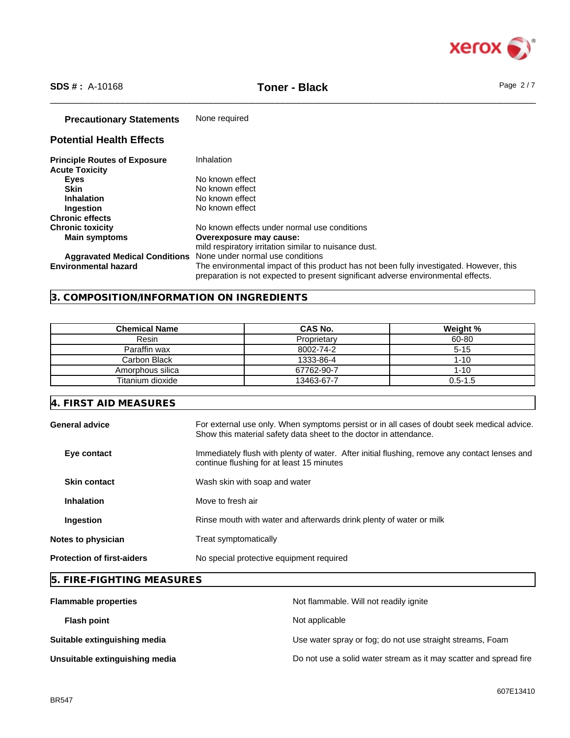

\_\_\_\_\_\_\_\_\_\_\_\_\_\_\_\_\_\_\_\_\_\_\_\_\_\_\_\_\_\_\_\_\_\_\_\_\_\_\_\_\_\_\_\_\_\_\_\_\_\_\_\_\_\_\_\_\_\_\_\_\_\_\_\_\_\_\_\_\_\_\_\_\_\_\_\_\_\_\_\_\_\_\_\_\_\_\_\_\_\_\_\_\_\_ **SDS # :** A-10168 **Toner - Black** Page 2 / 7

## **Precautionary Statements** None required

# **Potential Health Effects**

| <b>Principle Routes of Exposure</b>  | Inhalation                                                                                                                                                                   |
|--------------------------------------|------------------------------------------------------------------------------------------------------------------------------------------------------------------------------|
| <b>Acute Toxicity</b>                |                                                                                                                                                                              |
| <b>Eves</b>                          | No known effect                                                                                                                                                              |
| <b>Skin</b>                          | No known effect                                                                                                                                                              |
| <b>Inhalation</b>                    | No known effect                                                                                                                                                              |
| <b>Ingestion</b>                     | No known effect                                                                                                                                                              |
| <b>Chronic effects</b>               |                                                                                                                                                                              |
| <b>Chronic toxicity</b>              | No known effects under normal use conditions                                                                                                                                 |
| <b>Main symptoms</b>                 | Overexposure may cause:                                                                                                                                                      |
|                                      | mild respiratory irritation similar to nuisance dust.                                                                                                                        |
| <b>Aggravated Medical Conditions</b> | None under normal use conditions                                                                                                                                             |
| <b>Environmental hazard</b>          | The environmental impact of this product has not been fully investigated. However, this<br>preparation is not expected to present significant adverse environmental effects. |

# **3. COMPOSITION/INFORMATION ON INGREDIENTS**

| Chemical Name    | CAS No.     | Weight %    |
|------------------|-------------|-------------|
| Resin            | Proprietary | 60-80       |
| Paraffin wax     | 8002-74-2   | $5 - 15$    |
| Carbon Black     | 1333-86-4   | $1 - 10$    |
| Amorphous silica | 67762-90-7  | 1-10        |
| Titanium dioxide | 13463-67-7  | $0.5 - 1.5$ |

# **4. FIRST AID MEASURES**

| General advice                    | For external use only. When symptoms persist or in all cases of doubt seek medical advice.<br>Show this material safety data sheet to the doctor in attendance. |
|-----------------------------------|-----------------------------------------------------------------------------------------------------------------------------------------------------------------|
| Eye contact                       | Immediately flush with plenty of water. After initial flushing, remove any contact lenses and<br>continue flushing for at least 15 minutes                      |
| <b>Skin contact</b>               | Wash skin with soap and water                                                                                                                                   |
| <b>Inhalation</b>                 | Move to fresh air                                                                                                                                               |
| Ingestion                         | Rinse mouth with water and afterwards drink plenty of water or milk                                                                                             |
| <b>Notes to physician</b>         | Treat symptomatically                                                                                                                                           |
| <b>Protection of first-aiders</b> | No special protective equipment required                                                                                                                        |

# **5. FIRE-FIGHTING MEASURES**

| <b>Flammable properties</b>    | Not flammable. Will not readily ignite                            |
|--------------------------------|-------------------------------------------------------------------|
| <b>Flash point</b>             | Not applicable                                                    |
| Suitable extinguishing media   | Use water spray or fog; do not use straight streams, Foam         |
| Unsuitable extinguishing media | Do not use a solid water stream as it may scatter and spread fire |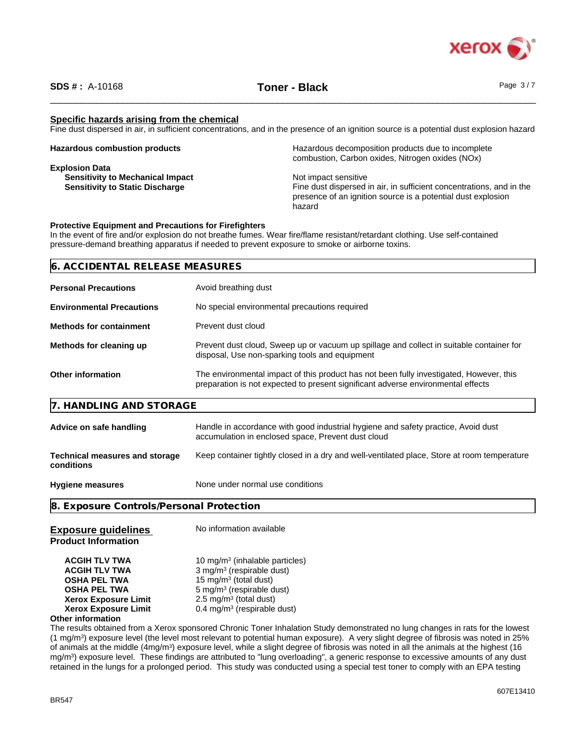

### **Specific hazards arising from the chemical**

Fine dust dispersed in air, in sufficient concentrations, and in the presence of an ignition source is a potential dust explosion hazard

| <b>Hazardous combustion products</b>    | Hazardous decomposition products due to incomplete<br>combustion, Carbon oxides, Nitrogen oxides (NOx) |
|-----------------------------------------|--------------------------------------------------------------------------------------------------------|
| <b>Explosion Data</b>                   |                                                                                                        |
| <b>Sensitivity to Mechanical Impact</b> | Not impact sensitive                                                                                   |
| <b>Sensitivity to Static Discharge</b>  | Fine dust dispersed in air, in sufficient concentrations, and in the                                   |
|                                         | presence of an ignition source is a potential dust explosion                                           |
|                                         | hazard                                                                                                 |

### **Protective Equipment and Precautions for Firefighters**

In the event of fire and/or explosion do not breathe fumes. Wear fire/flame resistant/retardant clothing. Use self-contained pressure-demand breathing apparatus if needed to prevent exposure to smoke or airborne toxins.

| 6. ACCIDENTAL RELEASE MEASURES   |                                               |  |
|----------------------------------|-----------------------------------------------|--|
| <b>Personal Precautions</b>      | Avoid breathing dust                          |  |
| <b>Environmental Precautions</b> | No special environmental precautions required |  |

| <b>Methods for containment</b> | Prevent dust cloud |
|--------------------------------|--------------------|
|                                |                    |

| Methods for cleaning up | Prevent dust cloud, Sweep up or vacuum up spillage and collect in suitable container for<br>disposal, Use non-sparking tools and equipment |
|-------------------------|--------------------------------------------------------------------------------------------------------------------------------------------|
|                         |                                                                                                                                            |

| Other information | The environmental impact of this product has not been fully investigated, However, this |
|-------------------|-----------------------------------------------------------------------------------------|
|                   | preparation is not expected to present significant adverse environmental effects        |

### **7. HANDLING AND STORAGE**

| Advice on safe handling                             | Handle in accordance with good industrial hygiene and safety practice, Avoid dust<br>accumulation in enclosed space, Prevent dust cloud |
|-----------------------------------------------------|-----------------------------------------------------------------------------------------------------------------------------------------|
| <b>Technical measures and storage</b><br>conditions | Keep container tightly closed in a dry and well-ventilated place, Store at room temperature                                             |
| <b>Hygiene measures</b>                             | None under normal use conditions                                                                                                        |

**8. Exposure Controls/Personal Protection**

| <b>Exposure guidelines</b><br><b>Product Information</b>                                                                                                                             | No information available                                                                                                                                                                                                                        |
|--------------------------------------------------------------------------------------------------------------------------------------------------------------------------------------|-------------------------------------------------------------------------------------------------------------------------------------------------------------------------------------------------------------------------------------------------|
| <b>ACGIH TLV TWA</b><br><b>ACGIH TLV TWA</b><br><b>OSHA PEL TWA</b><br><b>OSHA PEL TWA</b><br><b>Xerox Exposure Limit</b><br><b>Xerox Exposure Limit</b><br><b>Other information</b> | 10 mg/m <sup>3</sup> (inhalable particles)<br>3 mg/m <sup>3</sup> (respirable dust)<br>15 mg/m <sup>3</sup> (total dust)<br>$5 \text{ mg/m}^3$ (respirable dust)<br>$2.5 \text{ mg/m}^3$ (total dust)<br>$0.4 \text{ mg/m}^3$ (respirable dust) |

The results obtained from a Xerox sponsored Chronic Toner Inhalation Study demonstrated no lung changes in rats for the lowest (1 mg/m<sup>3</sup> ) exposure level (the level most relevant to potential human exposure). A very slight degree of fibrosis was noted in 25% of animals at the middle (4mg/m<sup>3</sup>) exposure level, while a slight degree of fibrosis was noted in all the animals at the highest (16 mg/m<sup>3</sup>) exposure level. These findings are attributed to "lung overloading", a generic response to excessive amounts of any dust retained in the lungs for a prolonged period. This study was conducted using a special testtoner to comply with an EPA testing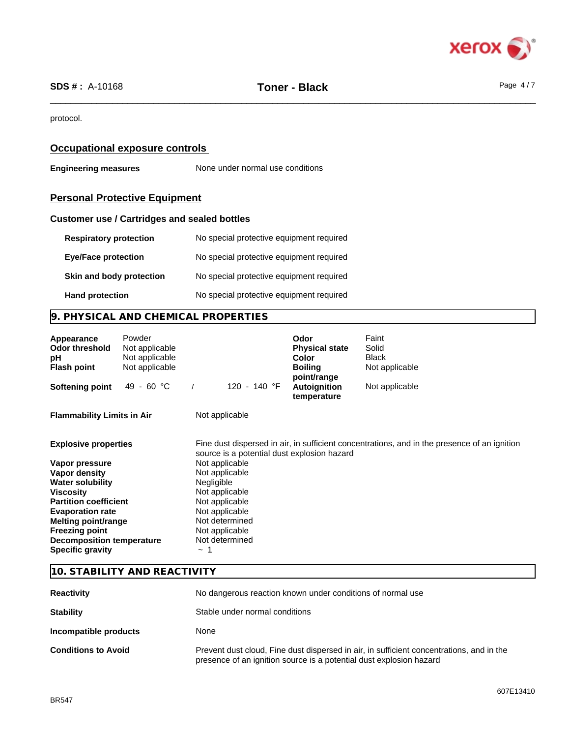

protocol.

## **Occupational exposure controls**

**Engineering measures** None under normal use conditions

# **Personal Protective Equipment**

### **Customer use / Cartridges and sealed bottles**

| <b>Respiratory protection</b> | No special protective equipment required |
|-------------------------------|------------------------------------------|
| <b>Eye/Face protection</b>    | No special protective equipment required |
| Skin and body protection      | No special protective equipment required |
| <b>Hand protection</b>        | No special protective equipment required |

# **9. PHYSICAL AND CHEMICAL PROPERTIES**

| Appearance<br><b>Odor threshold</b><br>рH<br><b>Flash point</b> | Powder<br>Not applicable<br>Not applicable<br>Not applicable |                                             | Odor<br><b>Physical state</b><br>Color<br><b>Boiling</b><br>point/range | Faint<br>Solid<br><b>Black</b><br>Not applicable                                             |
|-----------------------------------------------------------------|--------------------------------------------------------------|---------------------------------------------|-------------------------------------------------------------------------|----------------------------------------------------------------------------------------------|
| <b>Softening point</b>                                          | 49 - 60 °C                                                   | 120 - 140 °F                                | Autoignition<br>temperature                                             | Not applicable                                                                               |
| <b>Flammability Limits in Air</b>                               |                                                              | Not applicable                              |                                                                         |                                                                                              |
| <b>Explosive properties</b>                                     |                                                              | source is a potential dust explosion hazard |                                                                         | Fine dust dispersed in air, in sufficient concentrations, and in the presence of an ignition |
| Vapor pressure                                                  |                                                              | Not applicable                              |                                                                         |                                                                                              |
| Vapor density                                                   |                                                              | Not applicable                              |                                                                         |                                                                                              |
| <b>Water solubility</b>                                         |                                                              | <b>Negligible</b>                           |                                                                         |                                                                                              |
| <b>Viscosity</b>                                                |                                                              | Not applicable                              |                                                                         |                                                                                              |
| <b>Partition coefficient</b>                                    |                                                              | Not applicable                              |                                                                         |                                                                                              |
| <b>Evaporation rate</b>                                         |                                                              | Not applicable                              |                                                                         |                                                                                              |
| Melting point/range                                             |                                                              | Not determined                              |                                                                         |                                                                                              |
| <b>Freezing point</b>                                           |                                                              | Not applicable<br>Not determined            |                                                                         |                                                                                              |
| <b>Decomposition temperature</b><br><b>Specific gravity</b>     |                                                              | $\tilde{}$                                  |                                                                         |                                                                                              |

### **10. STABILITY AND REACTIVITY**

| <b>Reactivity</b>          | No dangerous reaction known under conditions of normal use                                                                                                      |  |
|----------------------------|-----------------------------------------------------------------------------------------------------------------------------------------------------------------|--|
| <b>Stability</b>           | Stable under normal conditions                                                                                                                                  |  |
| Incompatible products      | None                                                                                                                                                            |  |
| <b>Conditions to Avoid</b> | Prevent dust cloud, Fine dust dispersed in air, in sufficient concentrations, and in the<br>presence of an ignition source is a potential dust explosion hazard |  |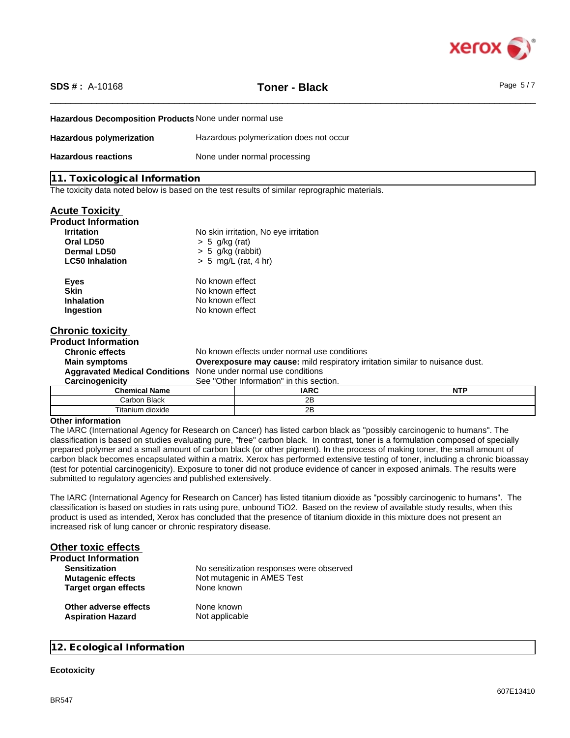

\_\_\_\_\_\_\_\_\_\_\_\_\_\_\_\_\_\_\_\_\_\_\_\_\_\_\_\_\_\_\_\_\_\_\_\_\_\_\_\_\_\_\_\_\_\_\_\_\_\_\_\_\_\_\_\_\_\_\_\_\_\_\_\_\_\_\_\_\_\_\_\_\_\_\_\_\_\_\_\_\_\_\_\_\_\_\_\_\_\_\_\_\_\_ **SDS # :** A-10168 **Toner - Black** Page 5 / 7

| Hazardous Decomposition Products None under normal use |                                                                                      |                                                                                               |            |  |
|--------------------------------------------------------|--------------------------------------------------------------------------------------|-----------------------------------------------------------------------------------------------|------------|--|
| <b>Hazardous polymerization</b>                        | Hazardous polymerization does not occur                                              |                                                                                               |            |  |
| <b>Hazardous reactions</b>                             | None under normal processing                                                         |                                                                                               |            |  |
| 11. Toxicological Information                          |                                                                                      |                                                                                               |            |  |
|                                                        |                                                                                      | The toxicity data noted below is based on the test results of similar reprographic materials. |            |  |
| <u><b>Acute Toxicity</b></u>                           |                                                                                      |                                                                                               |            |  |
| <b>Product Information</b>                             |                                                                                      |                                                                                               |            |  |
| <b>Irritation</b>                                      |                                                                                      | No skin irritation, No eye irritation                                                         |            |  |
| Oral LD50                                              | $> 5$ g/kg (rat)                                                                     |                                                                                               |            |  |
| Dermal LD50                                            | $> 5$ g/kg (rabbit)                                                                  |                                                                                               |            |  |
| <b>LC50 Inhalation</b>                                 | $> 5$ mg/L (rat, 4 hr)                                                               |                                                                                               |            |  |
| <b>Eyes</b>                                            | No known effect                                                                      |                                                                                               |            |  |
| <b>Skin</b>                                            | No known effect                                                                      |                                                                                               |            |  |
| <b>Inhalation</b>                                      | No known effect                                                                      |                                                                                               |            |  |
| Ingestion                                              | No known effect                                                                      |                                                                                               |            |  |
| <b>Chronic toxicity</b>                                |                                                                                      |                                                                                               |            |  |
| <b>Product Information</b>                             |                                                                                      |                                                                                               |            |  |
| <b>Chronic effects</b>                                 | No known effects under normal use conditions                                         |                                                                                               |            |  |
| <b>Main symptoms</b>                                   | <b>Overexposure may cause:</b> mild respiratory irritation similar to nuisance dust. |                                                                                               |            |  |
|                                                        | Aggravated Medical Conditions None under normal use conditions                       |                                                                                               |            |  |
| Carcinogenicity                                        | See "Other Information" in this section.                                             |                                                                                               |            |  |
| <b>Chemical Name</b>                                   |                                                                                      | <b>IARC</b>                                                                                   | <b>NTP</b> |  |
| Carbon Black                                           |                                                                                      | 2B                                                                                            |            |  |
| Titanium dioxide                                       |                                                                                      | 2 <sub>B</sub>                                                                                |            |  |

### **Other information**

The IARC (International Agency for Research on Cancer) has listed carbon black as "possibly carcinogenic to humans". The classification is based on studies evaluating pure, "free" carbon black. In contrast, toner is a formulation composed of specially prepared polymer and a small amount of carbon black (or other pigment). In the process of making toner, the small amount of carbon black becomes encapsulated within a matrix. Xerox has performed extensive testing of toner, including a chronic bioassay (test for potential carcinogenicity). Exposure to toner did not produce evidence of cancer in exposed animals. The results were submitted to regulatory agencies and published extensively.

The IARC (International Agency for Research on Cancer) has listed titanium dioxide as "possibly carcinogenic to humans". The classification is based on studies in rats using pure, unbound TiO2. Based on the review of available study results, when this product is used as intended, Xerox has concluded that the presence of titanium dioxide in this mixture does not present an increased risk of lung cancer or chronic respiratory disease.

| <b>Other toxic effects</b>  |                                          |
|-----------------------------|------------------------------------------|
| <b>Product Information</b>  |                                          |
| <b>Sensitization</b>        | No sensitization responses were observed |
| <b>Mutagenic effects</b>    | Not mutagenic in AMES Test               |
| <b>Target organ effects</b> | None known                               |
| Other adverse effects       | None known                               |
| <b>Aspiration Hazard</b>    | Not applicable                           |

### **12. Ecological Information**

### **Ecotoxicity**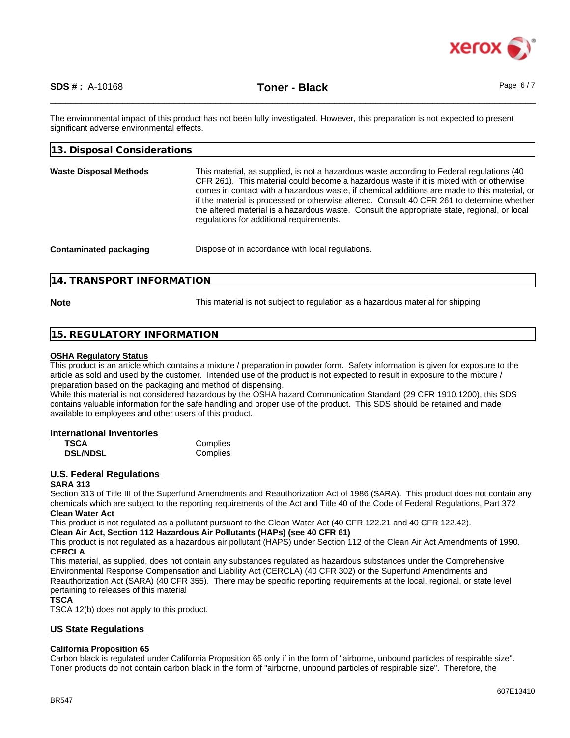

The environmental impact of this product has not been fully investigated. However, this preparation is not expected to present significant adverse environmental effects.

| 13. Disposal Considerations   |                                                                                                                                                                                                                                                                                                                                                                                                                                                                                                                                 |
|-------------------------------|---------------------------------------------------------------------------------------------------------------------------------------------------------------------------------------------------------------------------------------------------------------------------------------------------------------------------------------------------------------------------------------------------------------------------------------------------------------------------------------------------------------------------------|
| <b>Waste Disposal Methods</b> | This material, as supplied, is not a hazardous waste according to Federal regulations (40)<br>CFR 261). This material could become a hazardous waste if it is mixed with or otherwise<br>comes in contact with a hazardous waste, if chemical additions are made to this material, or<br>if the material is processed or otherwise altered. Consult 40 CFR 261 to determine whether<br>the altered material is a hazardous waste. Consult the appropriate state, regional, or local<br>regulations for additional requirements. |
| <b>Contaminated packaging</b> | Dispose of in accordance with local regulations.                                                                                                                                                                                                                                                                                                                                                                                                                                                                                |

### **14. TRANSPORT INFORMATION**

**Note** This material is not subject to regulation as a hazardous material for shipping

### **15. REGULATORY INFORMATION**

### **OSHA Regulatory Status**

This product is an article which contains a mixture / preparation in powder form. Safety information is given for exposure to the article as sold and used by the customer. Intended use of the product is not expected to result in exposure to the mixture / preparation based on the packaging and method of dispensing.

While this material is not considered hazardous by the OSHA hazard Communication Standard (29 CFR 1910.1200), this SDS contains valuable information for the safe handling and proper use of the product. This SDS should be retained and made available to employees and other users of this product.

### **International Inventories**

| <b>TSCA</b>     | Complies |
|-----------------|----------|
| <b>DSL/NDSL</b> | Complies |

### **U.S. Federal Regulations**

### **SARA 313**

Section 313 of Title III of the Superfund Amendments and Reauthorization Act of 1986 (SARA). This product does not contain any chemicals which are subject to the reporting requirements of the Act and Title 40 of the Code of Federal Regulations, Part 372 **Clean Water Act**

This product is not regulated as a pollutant pursuant to the Clean Water Act (40 CFR 122.21 and 40 CFR 122.42).

**Clean Air Act,Section 112 Hazardous Air Pollutants (HAPs) (see 40 CFR 61)**

This product is not regulated as a hazardous air pollutant (HAPS) under Section 112 of the Clean Air Act Amendments of 1990. **CERCLA**

This material, as supplied, does not contain any substances regulated as hazardous substances under the Comprehensive Environmental Response Compensation and Liability Act (CERCLA) (40 CFR 302) or the Superfund Amendments and Reauthorization Act (SARA) (40 CFR 355). There may be specific reporting requirements at the local, regional, or state level pertaining to releases of this material

### **TSCA**

TSCA 12(b) does not apply to this product.

### **US State Regulations**

### **California Proposition 65**

Carbon black is regulated under California Proposition 65 only if in the form of "airborne, unbound particles of respirable size". Toner products do not contain carbon black in the form of "airborne, unbound particles of respirable size". Therefore, the